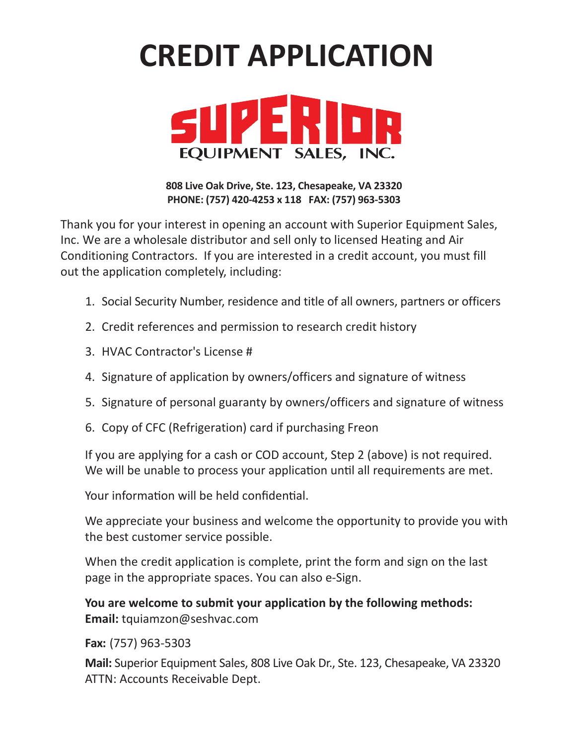## **CREDIT APPLICATION**



**808 Live Oak Drive, Ste. 123, Chesapeake, VA 23320 PHONE: (757) 420-4253 x 118 FAX: (757) 963-5303**

Thank you for your interest in opening an account with Superior Equipment Sales, Inc. We are a wholesale distributor and sell only to licensed Heating and Air Conditioning Contractors. If you are interested in a credit account, you must fill out the application completely, including:

- 1. Social Security Number, residence and title of all owners, partners or officers
- 2. Credit references and permission to research credit history
- 3. HVAC Contractor's License #
- 4. Signature of application by owners/officers and signature of witness
- 5. Signature of personal guaranty by owners/officers and signature of witness
- 6. Copy of CFC (Refrigeration) card if purchasing Freon

If you are applying for a cash or COD account, Step 2 (above) is not required. We will be unable to process your application until all requirements are met.

Your information will be held confidential.

We appreciate your business and welcome the opportunity to provide you with the best customer service possible.

When the credit application is complete, print the form and sign on the last page in the appropriate spaces. You can also e-Sign.

**You are welcome to submit your application by the following methods: Email:** tquiamzon@seshvac.com

**Fax:** (757) 963-5303

**Mail:** Superior Equipment Sales, 808 Live Oak Dr., Ste. 123, Chesapeake, VA 23320 ATTN: Accounts Receivable Dept.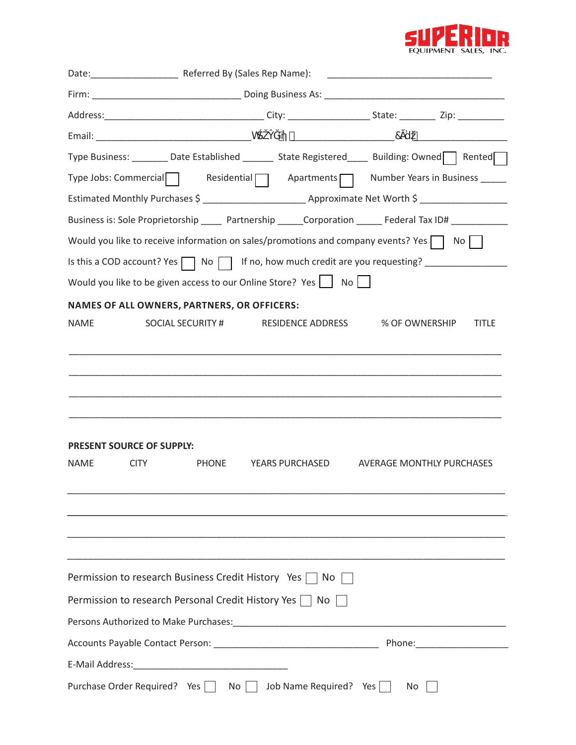

|             |                                                                     |                   |                        | Type Business: ________ Date Established _______ State Registered ____ Building: Owned Rented                  |              |
|-------------|---------------------------------------------------------------------|-------------------|------------------------|----------------------------------------------------------------------------------------------------------------|--------------|
|             |                                                                     |                   |                        | Type Jobs: Commercial Residential Apartments Number Years in Business ______                                   |              |
|             |                                                                     |                   |                        |                                                                                                                |              |
|             |                                                                     |                   |                        | Business is: Sole Proprietorship ______ Partnership ______ Corporation _______ Federal Tax ID# ___________     |              |
|             |                                                                     |                   |                        | Would you like to receive information on sales/promotions and company events? Yes $\Box$ No $\Box$             |              |
|             |                                                                     |                   |                        | Is this a COD account? Yes \Rightarrow No \Rightarrow If no, how much credit are you requesting? _____________ |              |
|             | Would you like to be given access to our Online Store? Yes   No     |                   |                        |                                                                                                                |              |
|             | NAMES OF ALL OWNERS, PARTNERS, OR OFFICERS:                         |                   |                        |                                                                                                                |              |
| NAME        |                                                                     | SOCIAL SECURITY # |                        | RESIDENCE ADDRESS % OF OWNERSHIP                                                                               | <b>TITLE</b> |
|             |                                                                     |                   |                        |                                                                                                                |              |
|             |                                                                     |                   |                        |                                                                                                                |              |
|             |                                                                     |                   |                        |                                                                                                                |              |
|             |                                                                     |                   |                        |                                                                                                                |              |
|             |                                                                     |                   |                        |                                                                                                                |              |
|             | PRESENT SOURCE OF SUPPLY:                                           |                   |                        |                                                                                                                |              |
| <b>NAME</b> | <b>CITY</b>                                                         | <b>PHONE</b>      | <b>YEARS PURCHASED</b> | AVERAGE MONTHLY PURCHASES                                                                                      |              |
|             |                                                                     |                   |                        |                                                                                                                |              |
|             |                                                                     |                   |                        |                                                                                                                |              |
|             |                                                                     |                   |                        |                                                                                                                |              |
|             |                                                                     |                   |                        |                                                                                                                |              |
|             | Permission to research Business Credit History Yes $\Box$ No $\Box$ |                   |                        |                                                                                                                |              |
|             | Permission to research Personal Credit History Yes $\Box$ No        |                   |                        |                                                                                                                |              |
|             |                                                                     |                   |                        |                                                                                                                |              |
|             |                                                                     |                   |                        |                                                                                                                |              |
|             |                                                                     |                   |                        |                                                                                                                |              |
|             | Purchase Order Required? Yes No Job Name Required? Yes              |                   |                        | No                                                                                                             |              |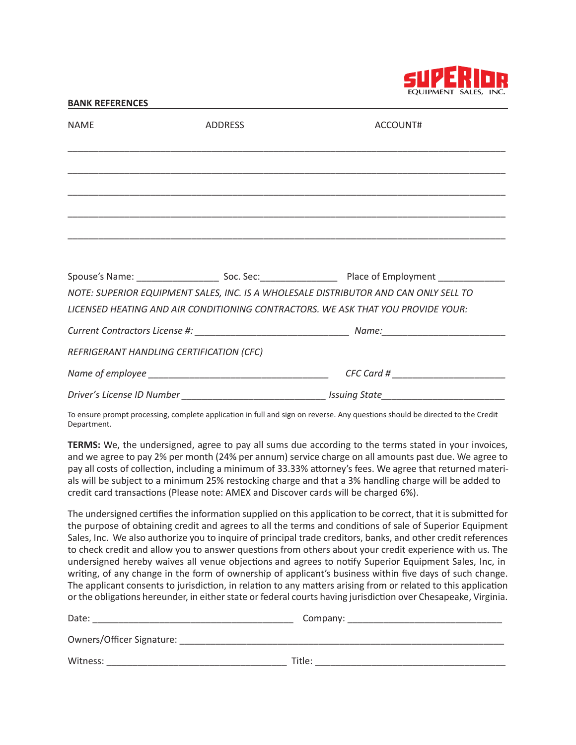

## **BANK REFERENCES** NAME ADDRESS ADDRESS ACCOUNT# \_\_\_\_\_\_\_\_\_\_\_\_\_\_\_\_\_\_\_\_\_\_\_\_\_\_\_\_\_\_\_\_\_\_\_\_\_\_\_\_\_\_\_\_\_\_\_\_\_\_\_\_\_\_\_\_\_\_\_\_\_\_\_\_\_\_\_\_\_\_\_\_\_\_\_\_\_\_\_\_\_\_\_\_\_ \_\_\_\_\_\_\_\_\_\_\_\_\_\_\_\_\_\_\_\_\_\_\_\_\_\_\_\_\_\_\_\_\_\_\_\_\_\_\_\_\_\_\_\_\_\_\_\_\_\_\_\_\_\_\_\_\_\_\_\_\_\_\_\_\_\_\_\_\_\_\_\_\_\_\_\_\_\_\_\_\_\_\_\_\_ \_\_\_\_\_\_\_\_\_\_\_\_\_\_\_\_\_\_\_\_\_\_\_\_\_\_\_\_\_\_\_\_\_\_\_\_\_\_\_\_\_\_\_\_\_\_\_\_\_\_\_\_\_\_\_\_\_\_\_\_\_\_\_\_\_\_\_\_\_\_\_\_\_\_\_\_\_\_\_\_\_\_\_\_\_ \_\_\_\_\_\_\_\_\_\_\_\_\_\_\_\_\_\_\_\_\_\_\_\_\_\_\_\_\_\_\_\_\_\_\_\_\_\_\_\_\_\_\_\_\_\_\_\_\_\_\_\_\_\_\_\_\_\_\_\_\_\_\_\_\_\_\_\_\_\_\_\_\_\_\_\_\_\_\_\_\_\_\_\_\_ \_\_\_\_\_\_\_\_\_\_\_\_\_\_\_\_\_\_\_\_\_\_\_\_\_\_\_\_\_\_\_\_\_\_\_\_\_\_\_\_\_\_\_\_\_\_\_\_\_\_\_\_\_\_\_\_\_\_\_\_\_\_\_\_\_\_\_\_\_\_\_\_\_\_\_\_\_\_\_\_\_\_\_\_\_ Spouse's Name: etc. Soc. Sec: comparison of Employment Spouse's Name: *NOTE: SUPERIOR EQUIPMENT SALES, INC. IS A WHOLESALE DISTRIBUTOR AND CAN ONLY SELL TO LICENSED HEATING AND AIR CONDITIONING CONTRACTORS. WE ASK THAT YOU PROVIDE YOUR: Current Contractors License #: \_\_\_\_\_\_\_\_\_\_\_\_\_\_\_\_\_\_\_\_\_\_\_\_\_\_\_\_\_\_ Name:\_\_\_\_\_\_\_\_\_\_\_\_\_\_\_\_\_\_\_\_\_\_\_\_ REFRIGERANT HANDLING CERTIFICATION (CFC)* Name of employee **and a set of the set of the set of the set of the set of the set of the set of the set of the set of the set of the set of the set of the set of the set of the set of the set of the set of the set of the** *Driver's License ID Number \_\_\_\_\_\_\_\_\_\_\_\_\_\_\_\_\_\_\_\_\_\_\_\_\_\_\_\_ Issuing State\_\_\_\_\_\_\_\_\_\_\_\_\_\_\_\_\_\_\_\_\_\_\_\_*

To ensure prompt processing, complete application in full and sign on reverse. Any questions should be directed to the Credit Department.

**TERMS:** We, the undersigned, agree to pay all sums due according to the terms stated in your invoices, and we agree to pay 2% per month (24% per annum) service charge on all amounts past due. We agree to pay all costs of collection, including a minimum of 33.33% attorney's fees. We agree that returned materials will be subject to a minimum 25% restocking charge and that a 3% handling charge will be added to credit card transactions (Please note: AMEX and Discover cards will be charged 6%).

The undersigned certifies the information supplied on this application to be correct, that it is submitted for the purpose of obtaining credit and agrees to all the terms and conditions of sale of Superior Equipment Sales, Inc. We also authorize you to inquire of principal trade creditors, banks, and other credit references to check credit and allow you to answer questions from others about your credit experience with us. The undersigned hereby waives all venue objections and agrees to notify Superior Equipment Sales, Inc, in writing, of any change in the form of ownership of applicant's business within five days of such change. The applicant consents to jurisdiction, in relation to any matters arising from or related to this application or the obligations hereunder, in either state or federal courts having jurisdiction over Chesapeake, Virginia.

| Date:                     | Company: |
|---------------------------|----------|
| Owners/Officer Signature: |          |
| Witness:                  | Title:   |